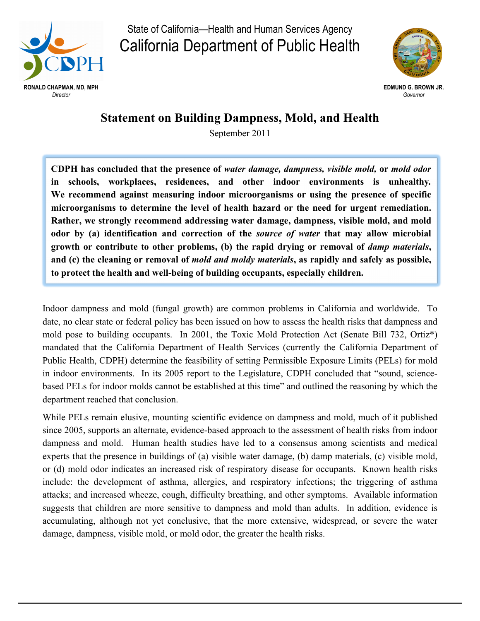

State of California—Health and Human Services Agency California Department of Public Health



## **Statement on Building Dampness, Mold, and Health**

September 2011

**CDPH has concluded that the presence of** *water damage, dampness, visible mold,* **or** *mold odor* **in schools, workplaces, residences, and other indoor environments is unhealthy***.* **We recommend against measuring indoor microorganisms or using the presence of specific microorganisms to determine the level of health hazard or the need for urgent remediation. Rather, we strongly recommend addressing water damage, dampness, visible mold, and mold odor by (a) identification and correction of the** *source of water* **that may allow microbial growth or contribute to other problems, (b) the rapid drying or removal of** *damp materials***, and (c) the cleaning or removal of** *mold and moldy materials***, as rapidly and safely as possible, to protect the health and well-being of building occupants, especially children.**

Indoor dampness and mold (fungal growth) are common problems in California and worldwide. To date, no clear state or federal policy has been issued on how to assess the health risks that dampness and mold pose to building occupants. In 2001, the Toxic Mold Protection Act (Senate Bill 732, Ortiz\*) mandated that the California Department of Health Services (currently the California Department of Public Health, CDPH) determine the feasibility of setting Permissible Exposure Limits (PELs) for mold in indoor environments. In its 2005 report to the Legislature, CDPH concluded that "sound, sciencebased PELs for indoor molds cannot be established at this time" and outlined the reasoning by which the department reached that conclusion.

While PELs remain elusive, mounting scientific evidence on dampness and mold, much of it published since 2005, supports an alternate, evidence-based approach to the assessment of health risks from indoor dampness and mold. Human health studies have led to a consensus among scientists and medical experts that the presence in buildings of (a) visible water damage, (b) damp materials, (c) visible mold, or (d) mold odor indicates an increased risk of respiratory disease for occupants. Known health risks include: the development of asthma, allergies, and respiratory infections; the triggering of asthma attacks; and increased wheeze, cough, difficulty breathing, and other symptoms. Available information suggests that children are more sensitive to dampness and mold than adults. In addition, evidence is accumulating, although not yet conclusive, that the more extensive, widespread, or severe the water damage, dampness, visible mold, or mold odor, the greater the health risks.